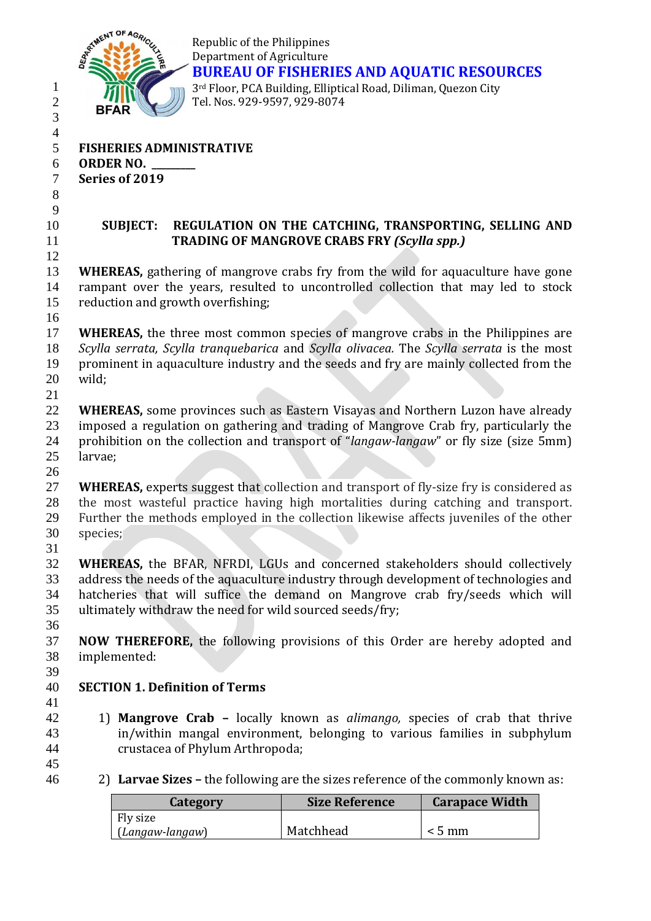

Republic of the Philippines Department of Agriculture **BUREAU OF FISHERIES AND AQUATIC RESOURCES** rd Floor, PCA Building, Elliptical Road, Diliman, Quezon City Tel. Nos. 929-9597, 929-8074

 **FISHERIES ADMINISTRATIVE ORDER NO. \_\_\_\_\_\_\_\_\_ Series of 2019**  

 **SUBJECT: REGULATION ON THE CATCHING, TRANSPORTING, SELLING AND TRADING OF MANGROVE CRABS FRY** *(Scylla spp.)*

 **WHEREAS,** gathering of mangrove crabs fry from the wild for aquaculture have gone rampant over the years, resulted to uncontrolled collection that may led to stock reduction and growth overfishing;

 **WHEREAS,** the three most common species of mangrove crabs in the Philippines are *Scylla serrata, Scylla tranquebarica* and *Scylla olivacea.* The *Scylla serrata* is the most prominent in aquaculture industry and the seeds and fry are mainly collected from the wild;

- **WHEREAS,** some provinces such as Eastern Visayas and Northern Luzon have already imposed a regulation on gathering and trading of Mangrove Crab fry, particularly the prohibition on the collection and transport of "*langaw-langaw*" or fly size (size 5mm)
- larvae;

 **WHEREAS,** experts suggest that collection and transport of fly-size fry is considered as the most wasteful practice having high mortalities during catching and transport. Further the methods employed in the collection likewise affects juveniles of the other species; 

 **WHEREAS,** the BFAR, NFRDI, LGUs and concerned stakeholders should collectively address the needs of the aquaculture industry through development of technologies and hatcheries that will suffice the demand on Mangrove crab fry/seeds which will ultimately withdraw the need for wild sourced seeds/fry;

 **NOW THEREFORE,** the following provisions of this Order are hereby adopted and implemented: 

## **SECTION 1. Definition of Terms**

- 1) **Mangrove Crab –** locally known as *alimango,* species of crab that thrive in/within mangal environment, belonging to various families in subphylum crustacea of Phylum Arthropoda;
- 2) **Larvae Sizes –** the following are the sizes reference of the commonly known as:

| Category        | <b>Size Reference</b> | <b>Carapace Width</b> |
|-----------------|-----------------------|-----------------------|
| Fly size        |                       |                       |
| (Langaw-langaw) | Matchhead             | $< 5 \text{ mm}$      |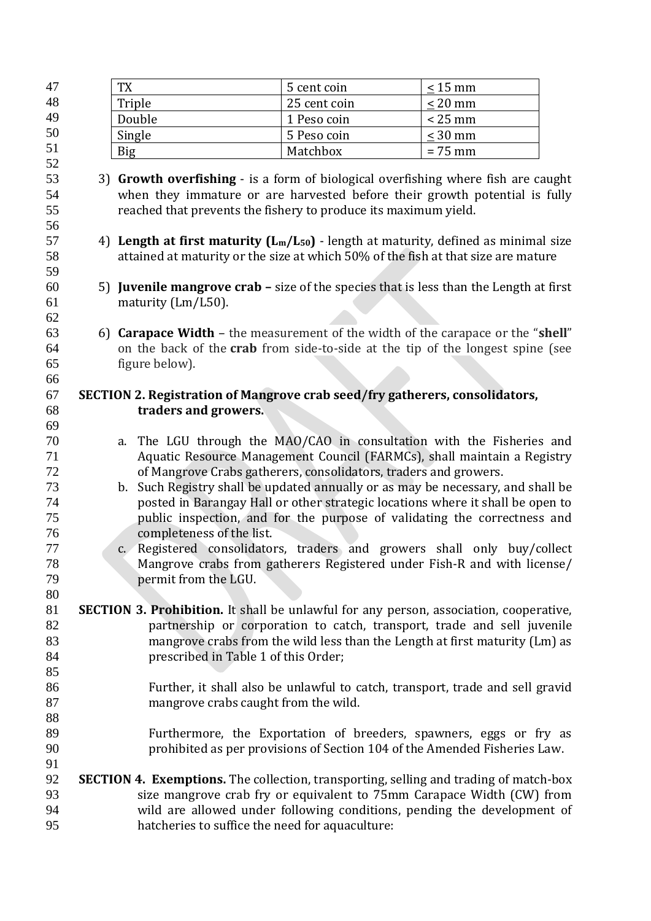| 47       |                                                                         | <b>TX</b>                                                                                     | 5 cent coin  | $\leq 15$ mm                                                                  |  |  |  |  |  |
|----------|-------------------------------------------------------------------------|-----------------------------------------------------------------------------------------------|--------------|-------------------------------------------------------------------------------|--|--|--|--|--|
| 48       |                                                                         | Triple                                                                                        | 25 cent coin | $\leq$ 20 mm                                                                  |  |  |  |  |  |
| 49       |                                                                         | Double                                                                                        | 1 Peso coin  | $< 25$ mm                                                                     |  |  |  |  |  |
| 50       |                                                                         | Single                                                                                        | 5 Peso coin  | $<$ 30 mm                                                                     |  |  |  |  |  |
| 51       |                                                                         | <b>Big</b>                                                                                    | Matchbox     | $= 75$ mm                                                                     |  |  |  |  |  |
| 52       |                                                                         |                                                                                               |              |                                                                               |  |  |  |  |  |
| 53       |                                                                         | 3) Growth overfishing - is a form of biological overfishing where fish are caught             |              |                                                                               |  |  |  |  |  |
| 54       |                                                                         | when they immature or are harvested before their growth potential is fully                    |              |                                                                               |  |  |  |  |  |
| 55       |                                                                         | reached that prevents the fishery to produce its maximum yield.                               |              |                                                                               |  |  |  |  |  |
| 56       |                                                                         |                                                                                               |              |                                                                               |  |  |  |  |  |
| 57       |                                                                         | 4) Length at first maturity $(L_m/L_{50})$ - length at maturity, defined as minimal size      |              |                                                                               |  |  |  |  |  |
| 58       |                                                                         | attained at maturity or the size at which 50% of the fish at that size are mature             |              |                                                                               |  |  |  |  |  |
| 59       |                                                                         |                                                                                               |              |                                                                               |  |  |  |  |  |
| 60       |                                                                         | 5) Juvenile mangrove crab - size of the species that is less than the Length at first         |              |                                                                               |  |  |  |  |  |
| 61       |                                                                         | maturity (Lm/L50).                                                                            |              |                                                                               |  |  |  |  |  |
| 62<br>63 |                                                                         | 6) Carapace Width - the measurement of the width of the carapace or the "shell"               |              |                                                                               |  |  |  |  |  |
| 64       |                                                                         | on the back of the crab from side-to-side at the tip of the longest spine (see                |              |                                                                               |  |  |  |  |  |
| 65       |                                                                         | figure below).                                                                                |              |                                                                               |  |  |  |  |  |
| 66       |                                                                         |                                                                                               |              |                                                                               |  |  |  |  |  |
| 67       |                                                                         | SECTION 2. Registration of Mangrove crab seed/fry gatherers, consolidators,                   |              |                                                                               |  |  |  |  |  |
| 68       |                                                                         | traders and growers.                                                                          |              |                                                                               |  |  |  |  |  |
| 69       |                                                                         |                                                                                               |              |                                                                               |  |  |  |  |  |
| 70       |                                                                         | a. The LGU through the MAO/CAO in consultation with the Fisheries and                         |              |                                                                               |  |  |  |  |  |
| 71       |                                                                         |                                                                                               |              | Aquatic Resource Management Council (FARMCs), shall maintain a Registry       |  |  |  |  |  |
| 72       |                                                                         | of Mangrove Crabs gatherers, consolidators, traders and growers.                              |              |                                                                               |  |  |  |  |  |
| 73       |                                                                         | b. Such Registry shall be updated annually or as may be necessary, and shall be               |              |                                                                               |  |  |  |  |  |
| 74       |                                                                         | posted in Barangay Hall or other strategic locations where it shall be open to                |              |                                                                               |  |  |  |  |  |
| 75       |                                                                         |                                                                                               |              | public inspection, and for the purpose of validating the correctness and      |  |  |  |  |  |
| 76       | completeness of the list.                                               |                                                                                               |              |                                                                               |  |  |  |  |  |
| 77       |                                                                         | c. Registered consolidators, traders and growers shall only buy/collect                       |              |                                                                               |  |  |  |  |  |
| 78       | Mangrove crabs from gatherers Registered under Fish-R and with license/ |                                                                                               |              |                                                                               |  |  |  |  |  |
| 79       |                                                                         | permit from the LGU.                                                                          |              |                                                                               |  |  |  |  |  |
| 80       |                                                                         |                                                                                               |              |                                                                               |  |  |  |  |  |
| 81       |                                                                         | <b>SECTION 3. Prohibition.</b> It shall be unlawful for any person, association, cooperative, |              |                                                                               |  |  |  |  |  |
| 82       |                                                                         |                                                                                               |              | partnership or corporation to catch, transport, trade and sell juvenile       |  |  |  |  |  |
| 83       |                                                                         |                                                                                               |              | mangrove crabs from the wild less than the Length at first maturity (Lm) as   |  |  |  |  |  |
| 84<br>85 |                                                                         | prescribed in Table 1 of this Order;                                                          |              |                                                                               |  |  |  |  |  |
| 86       |                                                                         |                                                                                               |              | Further, it shall also be unlawful to catch, transport, trade and sell gravid |  |  |  |  |  |
| 87       |                                                                         | mangrove crabs caught from the wild.                                                          |              |                                                                               |  |  |  |  |  |
| 88       |                                                                         |                                                                                               |              |                                                                               |  |  |  |  |  |
| 89       |                                                                         |                                                                                               |              | Furthermore, the Exportation of breeders, spawners, eggs or fry as            |  |  |  |  |  |
| 90       |                                                                         |                                                                                               |              | prohibited as per provisions of Section 104 of the Amended Fisheries Law.     |  |  |  |  |  |
| 91       |                                                                         |                                                                                               |              |                                                                               |  |  |  |  |  |
| 92       |                                                                         | <b>SECTION 4. Exemptions.</b> The collection, transporting, selling and trading of match-box  |              |                                                                               |  |  |  |  |  |
| 93       |                                                                         |                                                                                               |              | size mangrove crab fry or equivalent to 75mm Carapace Width (CW) from         |  |  |  |  |  |
| 94       |                                                                         |                                                                                               |              | wild are allowed under following conditions, pending the development of       |  |  |  |  |  |
| 95       |                                                                         | hatcheries to suffice the need for aquaculture:                                               |              |                                                                               |  |  |  |  |  |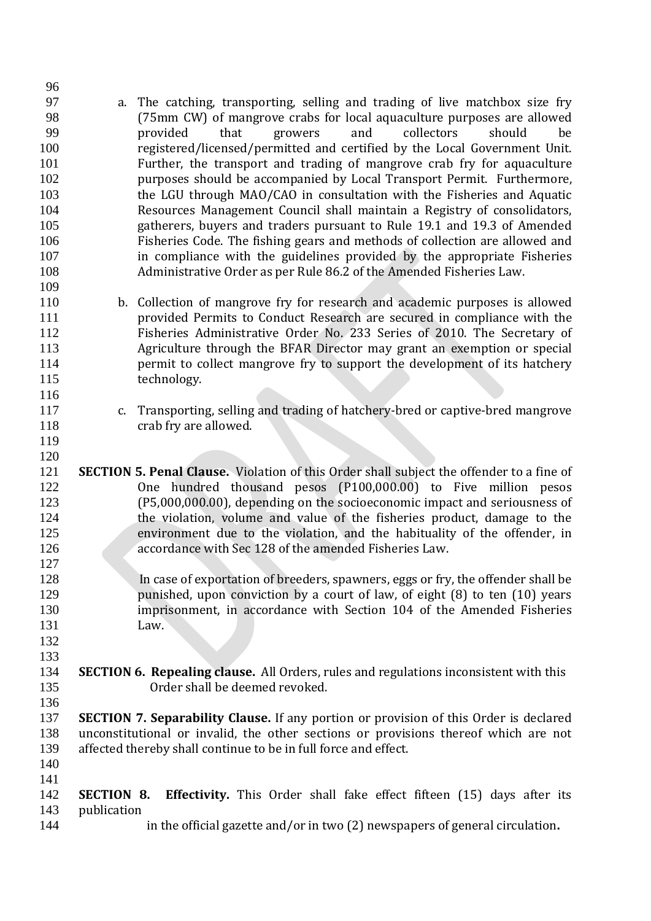a. The catching, transporting, selling and trading of live matchbox size fry (75mm CW) of mangrove crabs for local aquaculture purposes are allowed provided that growers and collectors should be registered/licensed/permitted and certified by the Local Government Unit. Further, the transport and trading of mangrove crab fry for aquaculture purposes should be accompanied by Local Transport Permit. Furthermore, the LGU through MAO/CAO in consultation with the Fisheries and Aquatic Resources Management Council shall maintain a Registry of consolidators, gatherers, buyers and traders pursuant to Rule 19.1 and 19.3 of Amended Fisheries Code. The fishing gears and methods of collection are allowed and in compliance with the guidelines provided by the appropriate Fisheries Administrative Order as per Rule 86.2 of the Amended Fisheries Law. b. Collection of mangrove fry for research and academic purposes is allowed provided Permits to Conduct Research are secured in compliance with the Fisheries Administrative Order No. 233 Series of 2010. The Secretary of Agriculture through the BFAR Director may grant an exemption or special **permit to collect mangrove fry to support the development of its hatchery**  technology. c. Transporting, selling and trading of hatchery-bred or captive-bred mangrove 118 crab fry are allowed. **SECTION 5. Penal Clause.** Violation of this Order shall subject the offender to a fine of One hundred thousand pesos (P100,000.00) to Five million pesos (P5,000,000.00), depending on the socioeconomic impact and seriousness of the violation, volume and value of the fisheries product, damage to the environment due to the violation, and the habituality of the offender, in accordance with Sec 128 of the amended Fisheries Law. In case of exportation of breeders, spawners, eggs or fry, the offender shall be punished, upon conviction by a court of law, of eight (8) to ten (10) years imprisonment, in accordance with Section 104 of the Amended Fisheries Law. **SECTION 6. Repealing clause.** All Orders, rules and regulations inconsistent with this Order shall be deemed revoked. **SECTION 7. Separability Clause.** If any portion or provision of this Order is declared unconstitutional or invalid, the other sections or provisions thereof which are not affected thereby shall continue to be in full force and effect. **SECTION 8. Effectivity.** This Order shall fake effect fifteen (15) days after its 143 publication in the official gazette and/or in two (2) newspapers of general circulation**.**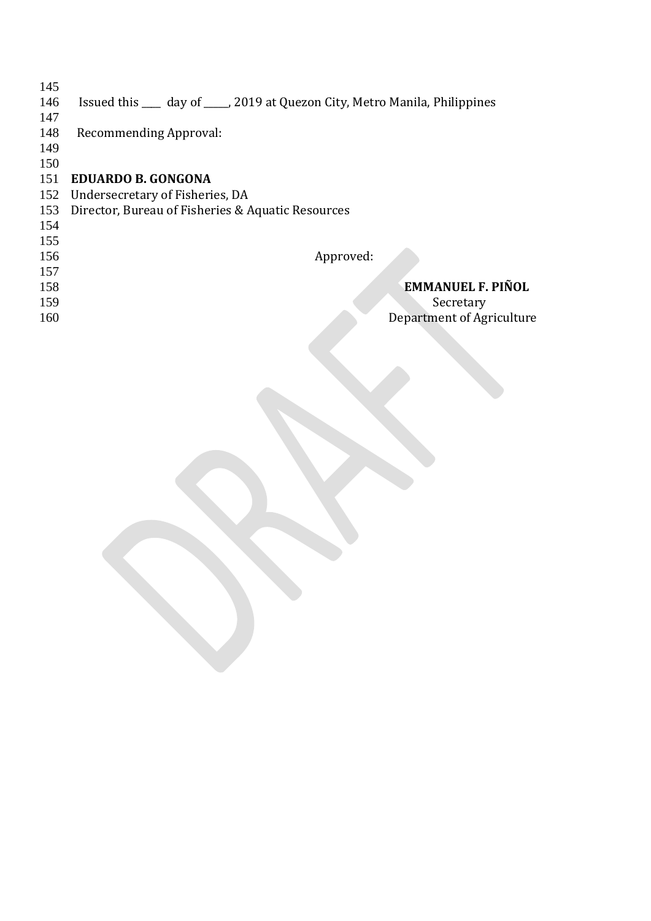- 
- Issued this \_\_\_\_ day of \_\_\_\_\_, 2019 at Quezon City, Metro Manila, Philippines
- 
- Recommending Approval:
- 
- 

## **EDUARDO B. GONGONA**

- Undersecretary of Fisheries, DA
- Director, Bureau of Fisheries & Aquatic Resources
- 
- 
- 
- 
- 

## Approved:

 **EMMANUEL F. PIÑOL**  159 Secretary Department of Agriculture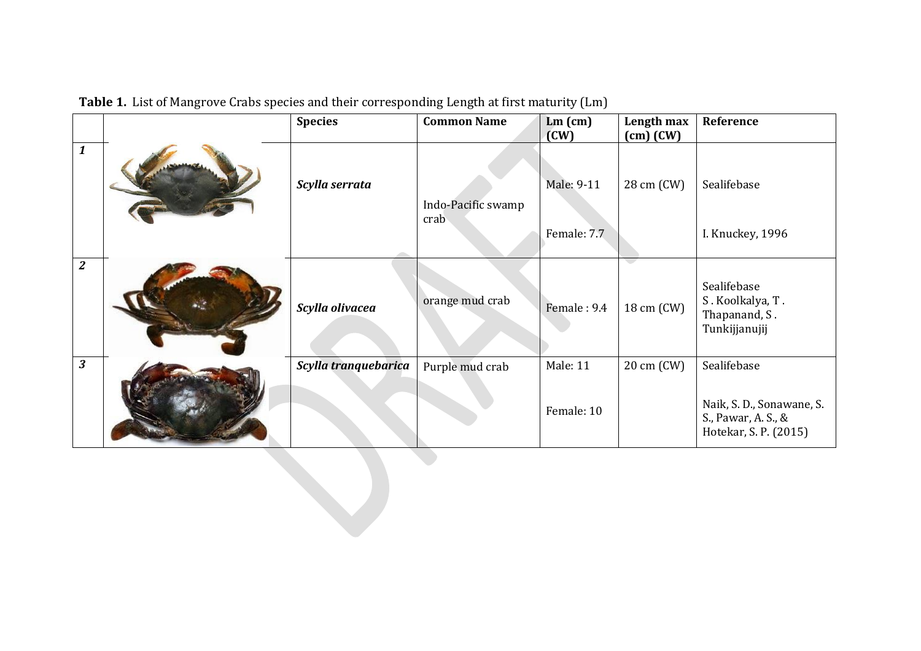|                         |  | <b>Species</b>       | <b>Common Name</b>         | $Lm$ (cm)<br>(CW)         | Length max<br>$(cm)$ $(CW)$ | Reference                                                                 |  |  |
|-------------------------|--|----------------------|----------------------------|---------------------------|-----------------------------|---------------------------------------------------------------------------|--|--|
| $\boldsymbol{1}$        |  | Scylla serrata       | Indo-Pacific swamp<br>crab | Male: 9-11<br>Female: 7.7 | 28 cm (CW)                  | Sealifebase<br>I. Knuckey, 1996                                           |  |  |
| $\boldsymbol{2}$        |  |                      |                            |                           |                             |                                                                           |  |  |
|                         |  | Scylla olivacea      | orange mud crab            | Female: 9.4               | 18 cm (CW)                  | Sealifebase<br>S. Koolkalya, T.<br>Thapanand, S.<br>Tunkijjanujij         |  |  |
| $\overline{\mathbf{3}}$ |  | Scylla tranquebarica | Purple mud crab            | Male: 11                  | 20 cm (CW)                  | Sealifebase                                                               |  |  |
|                         |  |                      |                            | Female: 10                |                             | Naik, S. D., Sonawane, S.<br>S., Pawar, A. S., &<br>Hotekar, S. P. (2015) |  |  |
|                         |  |                      |                            |                           |                             |                                                                           |  |  |

**Table 1.** List of Mangrove Crabs species and their corresponding Length at first maturity (Lm)